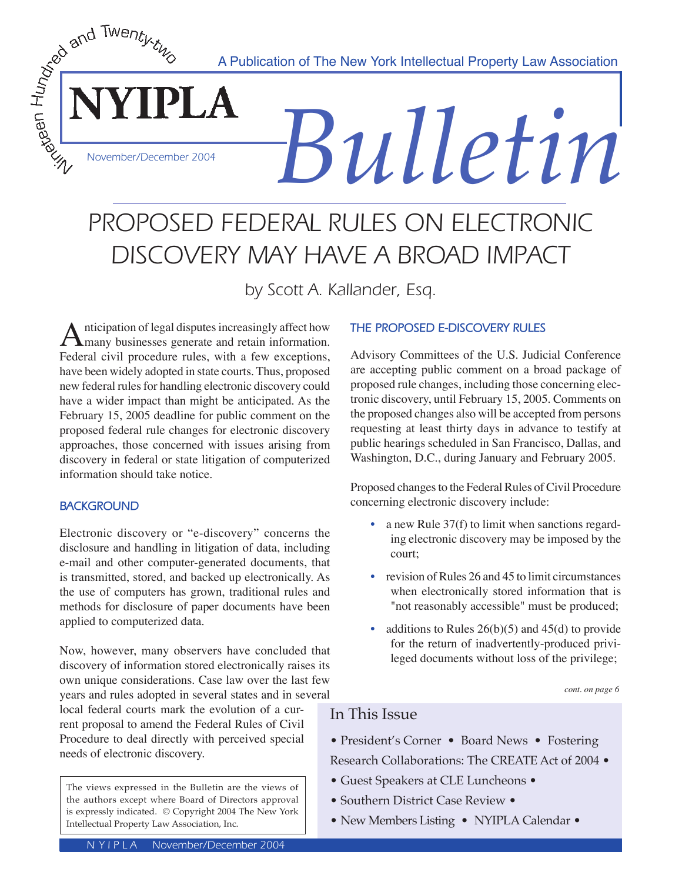A Publication of The New York Intellectual Property Law Association

# PROPOSED FEDERAL RULES ON ELECTRONIC DISCOVERY MAY HAVE A BROAD IMPACT

by Scott A. Kallander, Esq.

Anticipation of legal disputes increasingly affect how<br>
Federal civil procedure rules, with a few executions Federal civil procedure rules, with a few exceptions, have been widely adopted in state courts. Thus, proposed new federal rules for handling electronic discovery could have a wider impact than might be anticipated. As the February 15, 2005 deadline for public comment on the proposed federal rule changes for electronic discovery approaches, those concerned with issues arising from discovery in federal or state litigation of computerized information should take notice.

### **BACKGROUND**

*Anty-theory December 2004* 

YIPLA

Electronic discovery or "e-discovery" concerns the disclosure and handling in litigation of data, including e-mail and other computer-generated documents, that is transmitted, stored, and backed up electronically. As the use of computers has grown, traditional rules and methods for disclosure of paper documents have been applied to computerized data.

Now, however, many observers have concluded that discovery of information stored electronically raises its own unique considerations. Case law over the last few years and rules adopted in several states and in several

local federal courts mark the evolution of a current proposal to amend the Federal Rules of Civil Procedure to deal directly with perceived special needs of electronic discovery.

The views expressed in the Bulletin are the views of the authors except where Board of Directors approval is expressly indicated. © Copyright 2004 The New York Intellectual Property Law Association, Inc.

### **THE PROPOSED E-DISCOVERY RULES**

*Bulletin*

Advisory Committees of the U.S. Judicial Conference are accepting public comment on a broad package of proposed rule changes, including those concerning electronic discovery, until February 15, 2005. Comments on the proposed changes also will be accepted from persons requesting at least thirty days in advance to testify at public hearings scheduled in San Francisco, Dallas, and Washington, D.C., during January and February 2005.

Proposed changes to the Federal Rules of Civil Procedure concerning electronic discovery include:

- a new Rule 37(f) to limit when sanctions regarding electronic discovery may be imposed by the court;
- revision of Rules 26 and 45 to limit circumstances when electronically stored information that is "not reasonably accessible" must be produced;
- additions to Rules  $26(b)(5)$  and  $45(d)$  to provide for the return of inadvertently-produced privileged documents without loss of the privilege;

*cont. on page 6*

# In This Issue

- President's Corner Board News Fostering Research Collaborations: The CREATE Act of 2004 •
- Guest Speakers at CLE Luncheons •
- Southern District Case Review •
- New Members Listing NYIPLA Calendar •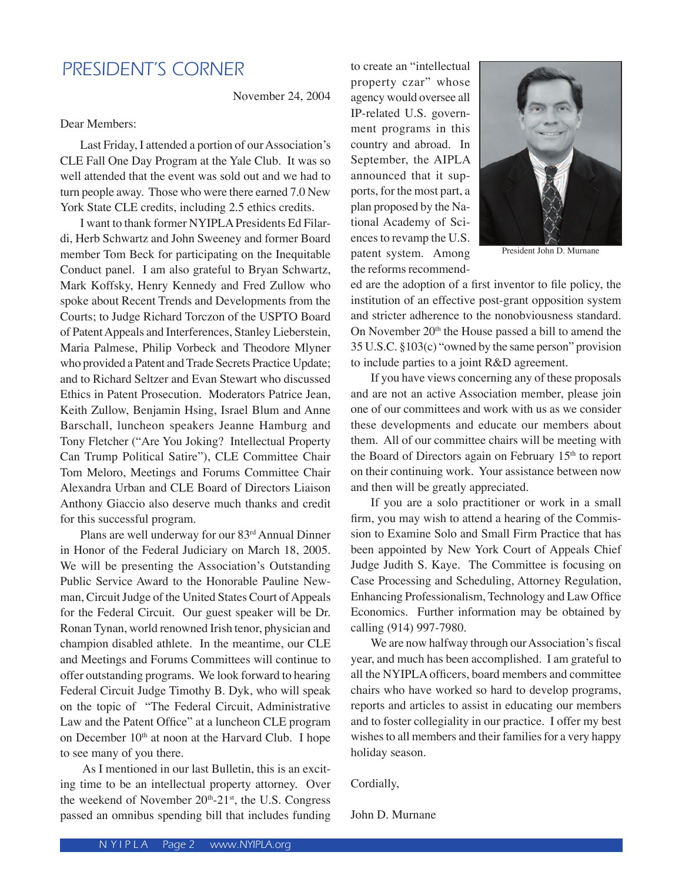# PRESIDENT'S CORNER

November 24, 2004

Dear Members:

 Last Friday, I attended a portion of our Association's CLE Fall One Day Program at the Yale Club. It was so well attended that the event was sold out and we had to turn people away. Those who were there earned 7.0 New York State CLE credits, including 2.5 ethics credits.

 I want to thank former NYIPLA Presidents Ed Filardi, Herb Schwartz and John Sweeney and former Board member Tom Beck for participating on the Inequitable Conduct panel. I am also grateful to Bryan Schwartz, Mark Koffsky, Henry Kennedy and Fred Zullow who spoke about Recent Trends and Developments from the Courts; to Judge Richard Torczon of the USPTO Board of Patent Appeals and Interferences, Stanley Lieberstein, Maria Palmese, Philip Vorbeck and Theodore Mlyner who provided a Patent and Trade Secrets Practice Update; and to Richard Seltzer and Evan Stewart who discussed Ethics in Patent Prosecution. Moderators Patrice Jean, Keith Zullow, Benjamin Hsing, Israel Blum and Anne Barschall, luncheon speakers Jeanne Hamburg and Tony Fletcher ("Are You Joking? Intellectual Property Can Trump Political Satire"), CLE Committee Chair Tom Meloro, Meetings and Forums Committee Chair Alexandra Urban and CLE Board of Directors Liaison Anthony Giaccio also deserve much thanks and credit for this successful program.

Plans are well underway for our 83rd Annual Dinner in Honor of the Federal Judiciary on March 18, 2005. We will be presenting the Association's Outstanding Public Service Award to the Honorable Pauline Newman, Circuit Judge of the United States Court of Appeals for the Federal Circuit. Our guest speaker will be Dr. Ronan Tynan, world renowned Irish tenor, physician and champion disabled athlete. In the meantime, our CLE and Meetings and Forums Committees will continue to offer outstanding programs. We look forward to hearing Federal Circuit Judge Timothy B. Dyk, who will speak on the topic of "The Federal Circuit, Administrative Law and the Patent Office" at a luncheon CLE program on December 10<sup>th</sup> at noon at the Harvard Club. I hope to see many of you there.

 As I mentioned in our last Bulletin, this is an exciting time to be an intellectual property attorney. Over the weekend of November  $20<sup>th</sup>-21<sup>st</sup>$ , the U.S. Congress passed an omnibus spending bill that includes funding

to create an "intellectual property czar" whose agency would oversee all IP-related U.S. government programs in this country and abroad. In September, the AIPLA announced that it supports, for the most part, a plan proposed by the National Academy of Sciences to revamp the U.S. patent system. Among the reforms recommend-



President John D. Murnane

ed are the adoption of a first inventor to file policy, the institution of an effective post-grant opposition system and stricter adherence to the nonobviousness standard. On November 20<sup>th</sup> the House passed a bill to amend the 35 U.S.C. §103(c) "owned by the same person" provision to include parties to a joint R&D agreement.

 If you have views concerning any of these proposals and are not an active Association member, please join one of our committees and work with us as we consider these developments and educate our members about them. All of our committee chairs will be meeting with the Board of Directors again on February 15<sup>th</sup> to report on their continuing work. Your assistance between now and then will be greatly appreciated.

 If you are a solo practitioner or work in a small firm, you may wish to attend a hearing of the Commission to Examine Solo and Small Firm Practice that has been appointed by New York Court of Appeals Chief Judge Judith S. Kaye. The Committee is focusing on Case Processing and Scheduling, Attorney Regulation, Enhancing Professionalism, Technology and Law Office Economics. Further information may be obtained by calling (914) 997-7980.

 We are now halfway through our Association's fiscal year, and much has been accomplished. I am grateful to all the NYIPLA officers, board members and committee chairs who have worked so hard to develop programs, reports and articles to assist in educating our members and to foster collegiality in our practice. I offer my best wishes to all members and their families for a very happy holiday season.

Cordially,

John D. Murnane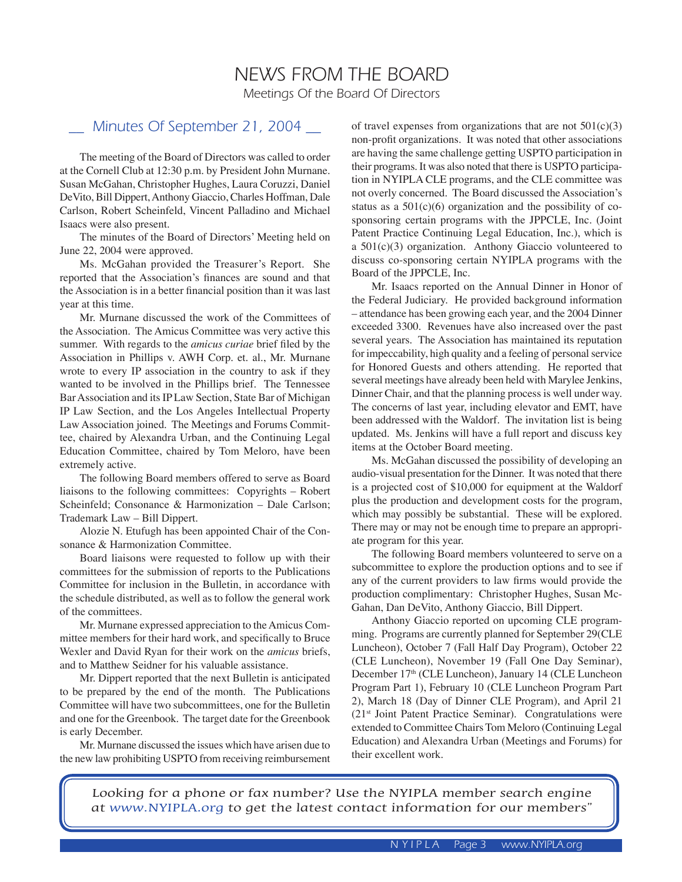# NEWS FROM THE BOARD Meetings Of the Board Of Directors

# Minutes Of September 21, 2004

The meeting of the Board of Directors was called to order at the Cornell Club at 12:30 p.m. by President John Murnane. Susan McGahan, Christopher Hughes, Laura Coruzzi, Daniel DeVito, Bill Dippert, Anthony Giaccio, Charles Hoffman, Dale Carlson, Robert Scheinfeld, Vincent Palladino and Michael Isaacs were also present.

The minutes of the Board of Directors' Meeting held on June 22, 2004 were approved.

Ms. McGahan provided the Treasurer's Report. She reported that the Association's finances are sound and that the Association is in a better financial position than it was last year at this time.

Mr. Murnane discussed the work of the Committees of the Association. The Amicus Committee was very active this summer. With regards to the *amicus curiae* brief filed by the Association in Phillips v. AWH Corp. et. al., Mr. Murnane wrote to every IP association in the country to ask if they wanted to be involved in the Phillips brief. The Tennessee Bar Association and its IP Law Section, State Bar of Michigan IP Law Section, and the Los Angeles Intellectual Property Law Association joined. The Meetings and Forums Committee, chaired by Alexandra Urban, and the Continuing Legal Education Committee, chaired by Tom Meloro, have been extremely active.

The following Board members offered to serve as Board liaisons to the following committees: Copyrights – Robert Scheinfeld; Consonance & Harmonization – Dale Carlson; Trademark Law – Bill Dippert.

Alozie N. Etufugh has been appointed Chair of the Consonance & Harmonization Committee.

Board liaisons were requested to follow up with their committees for the submission of reports to the Publications Committee for inclusion in the Bulletin, in accordance with the schedule distributed, as well as to follow the general work of the committees.

Mr. Murnane expressed appreciation to the Amicus Committee members for their hard work, and specifically to Bruce Wexler and David Ryan for their work on the *amicus* briefs, and to Matthew Seidner for his valuable assistance.

Mr. Dippert reported that the next Bulletin is anticipated to be prepared by the end of the month. The Publications Committee will have two subcommittees, one for the Bulletin and one for the Greenbook. The target date for the Greenbook is early December.

Mr. Murnane discussed the issues which have arisen due to the new law prohibiting USPTO from receiving reimbursement of travel expenses from organizations that are not  $501(c)(3)$ non-profit organizations. It was noted that other associations are having the same challenge getting USPTO participation in their programs. It was also noted that there is USPTO participation in NYIPLA CLE programs, and the CLE committee was not overly concerned. The Board discussed the Association's status as a  $501(c)(6)$  organization and the possibility of cosponsoring certain programs with the JPPCLE, Inc. (Joint Patent Practice Continuing Legal Education, Inc.), which is a 501(c)(3) organization. Anthony Giaccio volunteered to discuss co-sponsoring certain NYIPLA programs with the Board of the JPPCLE, Inc.

Mr. Isaacs reported on the Annual Dinner in Honor of the Federal Judiciary. He provided background information – attendance has been growing each year, and the 2004 Dinner exceeded 3300. Revenues have also increased over the past several years. The Association has maintained its reputation for impeccability, high quality and a feeling of personal service for Honored Guests and others attending. He reported that several meetings have already been held with Marylee Jenkins, Dinner Chair, and that the planning process is well under way. The concerns of last year, including elevator and EMT, have been addressed with the Waldorf. The invitation list is being updated. Ms. Jenkins will have a full report and discuss key items at the October Board meeting.

Ms. McGahan discussed the possibility of developing an audio-visual presentation for the Dinner. It was noted that there is a projected cost of \$10,000 for equipment at the Waldorf plus the production and development costs for the program, which may possibly be substantial. These will be explored. There may or may not be enough time to prepare an appropriate program for this year.

The following Board members volunteered to serve on a subcommittee to explore the production options and to see if any of the current providers to law firms would provide the production complimentary: Christopher Hughes, Susan Mc-Gahan, Dan DeVito, Anthony Giaccio, Bill Dippert.

Anthony Giaccio reported on upcoming CLE programming. Programs are currently planned for September 29(CLE Luncheon), October 7 (Fall Half Day Program), October 22 (CLE Luncheon), November 19 (Fall One Day Seminar), December 17<sup>th</sup> (CLE Luncheon), January 14 (CLE Luncheon Program Part 1), February 10 (CLE Luncheon Program Part 2), March 18 (Day of Dinner CLE Program), and April 21 (21st Joint Patent Practice Seminar). Congratulations were extended to Committee Chairs Tom Meloro (Continuing Legal Education) and Alexandra Urban (Meetings and Forums) for their excellent work.

Looking for a phone or fax number? Use the NYIPLA member search engine at www.NYIPLA.org to get the latest contact information for our members"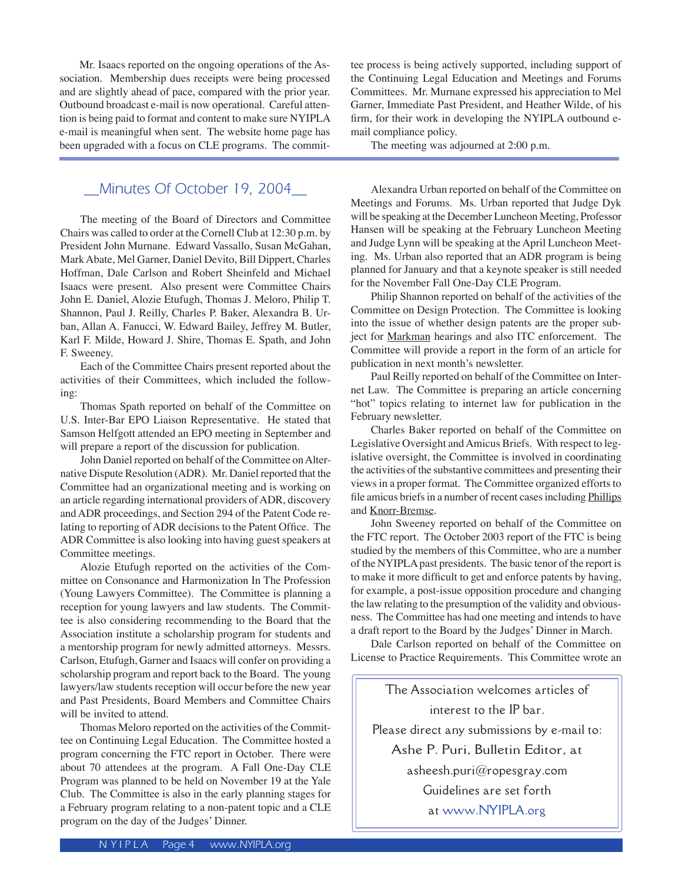Mr. Isaacs reported on the ongoing operations of the Association. Membership dues receipts were being processed and are slightly ahead of pace, compared with the prior year. Outbound broadcast e-mail is now operational. Careful attention is being paid to format and content to make sure NYIPLA e-mail is meaningful when sent. The website home page has been upgraded with a focus on CLE programs. The commit-

# \_\_Minutes Of October 19, 2004\_\_

The meeting of the Board of Directors and Committee Chairs was called to order at the Cornell Club at 12:30 p.m. by President John Murnane. Edward Vassallo, Susan McGahan, Mark Abate, Mel Garner, Daniel Devito, Bill Dippert, Charles Hoffman, Dale Carlson and Robert Sheinfeld and Michael Isaacs were present. Also present were Committee Chairs John E. Daniel, Alozie Etufugh, Thomas J. Meloro, Philip T. Shannon, Paul J. Reilly, Charles P. Baker, Alexandra B. Urban, Allan A. Fanucci, W. Edward Bailey, Jeffrey M. Butler, Karl F. Milde, Howard J. Shire, Thomas E. Spath, and John F. Sweeney.

 Each of the Committee Chairs present reported about the activities of their Committees, which included the following:

 Thomas Spath reported on behalf of the Committee on U.S. Inter-Bar EPO Liaison Representative. He stated that Samson Helfgott attended an EPO meeting in September and will prepare a report of the discussion for publication.

 John Daniel reported on behalf of the Committee on Alternative Dispute Resolution (ADR). Mr. Daniel reported that the Committee had an organizational meeting and is working on an article regarding international providers of ADR, discovery and ADR proceedings, and Section 294 of the Patent Code relating to reporting of ADR decisions to the Patent Office. The ADR Committee is also looking into having guest speakers at Committee meetings.

 Alozie Etufugh reported on the activities of the Committee on Consonance and Harmonization In The Profession (Young Lawyers Committee). The Committee is planning a reception for young lawyers and law students. The Committee is also considering recommending to the Board that the Association institute a scholarship program for students and a mentorship program for newly admitted attorneys. Messrs. Carlson, Etufugh, Garner and Isaacs will confer on providing a scholarship program and report back to the Board. The young lawyers/law students reception will occur before the new year and Past Presidents, Board Members and Committee Chairs will be invited to attend.

 Thomas Meloro reported on the activities of the Committee on Continuing Legal Education. The Committee hosted a program concerning the FTC report in October. There were about 70 attendees at the program. A Fall One-Day CLE Program was planned to be held on November 19 at the Yale Club. The Committee is also in the early planning stages for a February program relating to a non-patent topic and a CLE program on the day of the Judges' Dinner.

tee process is being actively supported, including support of the Continuing Legal Education and Meetings and Forums Committees. Mr. Murnane expressed his appreciation to Mel Garner, Immediate Past President, and Heather Wilde, of his firm, for their work in developing the NYIPLA outbound email compliance policy.

The meeting was adjourned at 2:00 p.m.

 Alexandra Urban reported on behalf of the Committee on Meetings and Forums. Ms. Urban reported that Judge Dyk will be speaking at the December Luncheon Meeting, Professor Hansen will be speaking at the February Luncheon Meeting and Judge Lynn will be speaking at the April Luncheon Meeting. Ms. Urban also reported that an ADR program is being planned for January and that a keynote speaker is still needed for the November Fall One-Day CLE Program.

 Philip Shannon reported on behalf of the activities of the Committee on Design Protection. The Committee is looking into the issue of whether design patents are the proper subject for Markman hearings and also ITC enforcement. The Committee will provide a report in the form of an article for publication in next month's newsletter.

 Paul Reilly reported on behalf of the Committee on Internet Law. The Committee is preparing an article concerning "hot" topics relating to internet law for publication in the February newsletter.

 Charles Baker reported on behalf of the Committee on Legislative Oversight and Amicus Briefs. With respect to legislative oversight, the Committee is involved in coordinating the activities of the substantive committees and presenting their views in a proper format. The Committee organized efforts to file amicus briefs in a number of recent cases including Phillips and Knorr-Bremse.

 John Sweeney reported on behalf of the Committee on the FTC report. The October 2003 report of the FTC is being studied by the members of this Committee, who are a number of the NYIPLA past presidents. The basic tenor of the report is to make it more difficult to get and enforce patents by having, for example, a post-issue opposition procedure and changing the law relating to the presumption of the validity and obviousness. The Committee has had one meeting and intends to have a draft report to the Board by the Judges' Dinner in March.

 Dale Carlson reported on behalf of the Committee on License to Practice Requirements. This Committee wrote an

The Association welcomes articles of interest to the IP bar. Please direct any submissions by e-mail to: Ashe P. Puri, Bulletin Editor, at asheesh.puri@ropesgray.com Guidelines are set forth at www.NYIPLA.org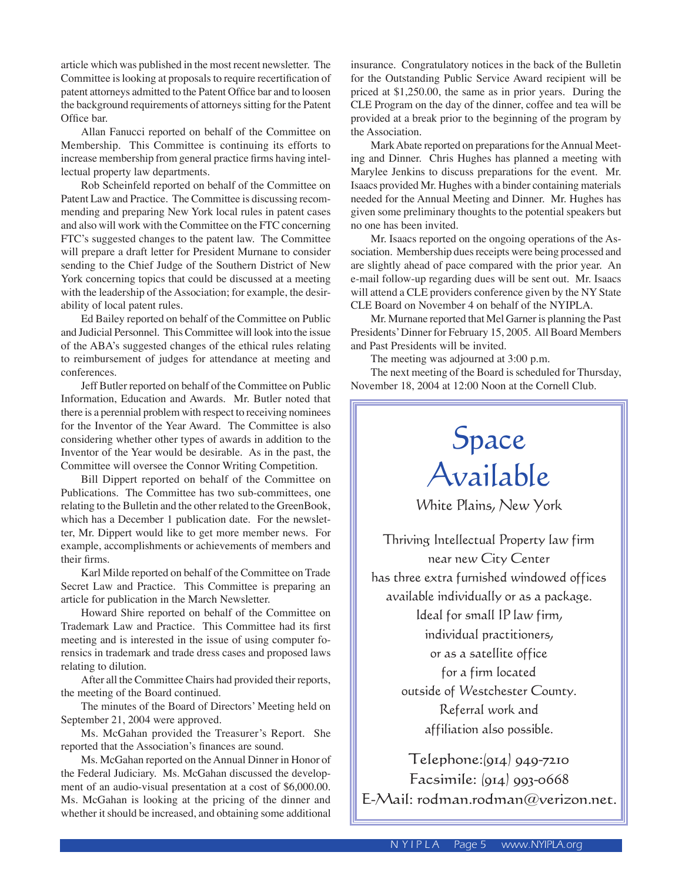article which was published in the most recent newsletter. The Committee is looking at proposals to require recertification of patent attorneys admitted to the Patent Office bar and to loosen the background requirements of attorneys sitting for the Patent Office bar.

 Allan Fanucci reported on behalf of the Committee on Membership. This Committee is continuing its efforts to increase membership from general practice firms having intellectual property law departments.

 Rob Scheinfeld reported on behalf of the Committee on Patent Law and Practice. The Committee is discussing recommending and preparing New York local rules in patent cases and also will work with the Committee on the FTC concerning FTC's suggested changes to the patent law. The Committee will prepare a draft letter for President Murnane to consider sending to the Chief Judge of the Southern District of New York concerning topics that could be discussed at a meeting with the leadership of the Association; for example, the desirability of local patent rules.

 Ed Bailey reported on behalf of the Committee on Public and Judicial Personnel. This Committee will look into the issue of the ABA's suggested changes of the ethical rules relating to reimbursement of judges for attendance at meeting and conferences.

 Jeff Butler reported on behalf of the Committee on Public Information, Education and Awards. Mr. Butler noted that there is a perennial problem with respect to receiving nominees for the Inventor of the Year Award. The Committee is also considering whether other types of awards in addition to the Inventor of the Year would be desirable. As in the past, the Committee will oversee the Connor Writing Competition.

 Bill Dippert reported on behalf of the Committee on Publications. The Committee has two sub-committees, one relating to the Bulletin and the other related to the GreenBook, which has a December 1 publication date. For the newsletter, Mr. Dippert would like to get more member news. For example, accomplishments or achievements of members and their firms.

 Karl Milde reported on behalf of the Committee on Trade Secret Law and Practice. This Committee is preparing an article for publication in the March Newsletter.

 Howard Shire reported on behalf of the Committee on Trademark Law and Practice. This Committee had its first meeting and is interested in the issue of using computer forensics in trademark and trade dress cases and proposed laws relating to dilution.

 After all the Committee Chairs had provided their reports, the meeting of the Board continued.

 The minutes of the Board of Directors' Meeting held on September 21, 2004 were approved.

 Ms. McGahan provided the Treasurer's Report. She reported that the Association's finances are sound.

 Ms. McGahan reported on the Annual Dinner in Honor of the Federal Judiciary. Ms. McGahan discussed the development of an audio-visual presentation at a cost of \$6,000.00. Ms. McGahan is looking at the pricing of the dinner and whether it should be increased, and obtaining some additional

insurance. Congratulatory notices in the back of the Bulletin for the Outstanding Public Service Award recipient will be priced at \$1,250.00, the same as in prior years. During the CLE Program on the day of the dinner, coffee and tea will be provided at a break prior to the beginning of the program by the Association.

 Mark Abate reported on preparations for the Annual Meeting and Dinner. Chris Hughes has planned a meeting with Marylee Jenkins to discuss preparations for the event. Mr. Isaacs provided Mr. Hughes with a binder containing materials needed for the Annual Meeting and Dinner. Mr. Hughes has given some preliminary thoughts to the potential speakers but no one has been invited.

 Mr. Isaacs reported on the ongoing operations of the Association. Membership dues receipts were being processed and are slightly ahead of pace compared with the prior year. An e-mail follow-up regarding dues will be sent out. Mr. Isaacs will attend a CLE providers conference given by the NY State CLE Board on November 4 on behalf of the NYIPLA.

 Mr. Murnane reported that Mel Garner is planning the Past Presidents' Dinner for February 15, 2005. All Board Members and Past Presidents will be invited.

The meeting was adjourned at 3:00 p.m.

 The next meeting of the Board is scheduled for Thursday, November 18, 2004 at 12:00 Noon at the Cornell Club.

# Space Available

White Plains, New York

Thriving Intellectual Property law firm near new City Center has three extra furnished windowed offices available individually or as a package. Ideal for small IP law firm, individual practitioners, or as a satellite office for a firm located outside of Westchester County. Referral work and affiliation also possible.

Telephone:(914) 949-7210 Facsimile: (914) 993-0668 E-Mail: rodman.rodman@verizon.net.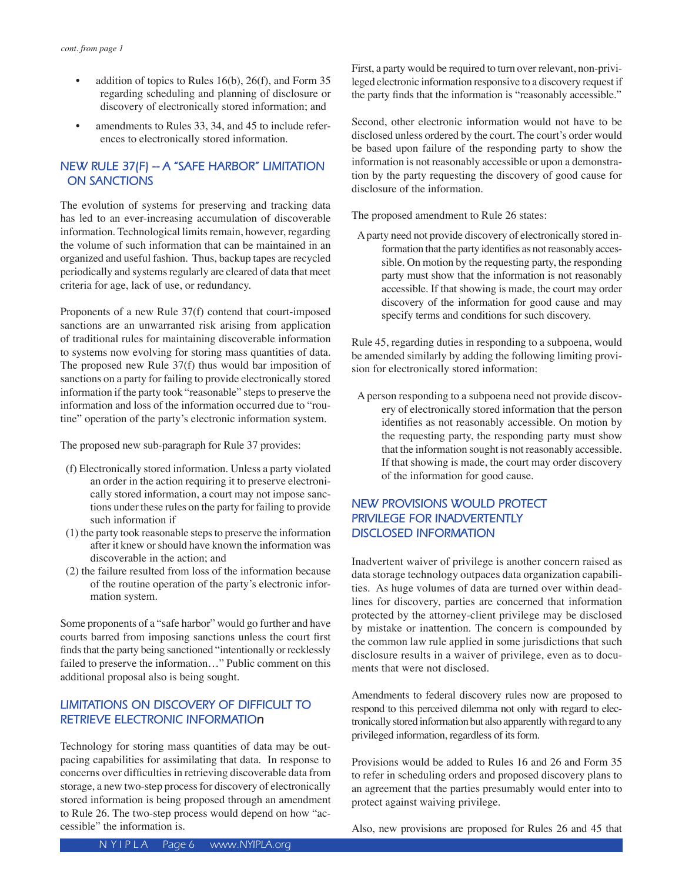- addition of topics to Rules  $16(b)$ ,  $26(f)$ , and Form 35 regarding scheduling and planning of disclosure or discovery of electronically stored information; and
- amendments to Rules 33, 34, and 45 to include references to electronically stored information.

## **NEW RULE 37(F) -- A "SAFE HARBOR" LIMITATION ON SANCTIONS**

The evolution of systems for preserving and tracking data has led to an ever-increasing accumulation of discoverable information. Technological limits remain, however, regarding the volume of such information that can be maintained in an organized and useful fashion. Thus, backup tapes are recycled periodically and systems regularly are cleared of data that meet criteria for age, lack of use, or redundancy.

Proponents of a new Rule 37(f) contend that court-imposed sanctions are an unwarranted risk arising from application of traditional rules for maintaining discoverable information to systems now evolving for storing mass quantities of data. The proposed new Rule 37(f) thus would bar imposition of sanctions on a party for failing to provide electronically stored information if the party took "reasonable" steps to preserve the information and loss of the information occurred due to "routine" operation of the party's electronic information system.

The proposed new sub-paragraph for Rule 37 provides:

- (f) Electronically stored information. Unless a party violated an order in the action requiring it to preserve electronically stored information, a court may not impose sanctions under these rules on the party for failing to provide such information if
- (1) the party took reasonable steps to preserve the information after it knew or should have known the information was discoverable in the action; and
- (2) the failure resulted from loss of the information because of the routine operation of the party's electronic information system.

Some proponents of a "safe harbor" would go further and have courts barred from imposing sanctions unless the court first finds that the party being sanctioned "intentionally or recklessly failed to preserve the information…" Public comment on this additional proposal also is being sought.

# **LIMITATIONS ON DISCOVERY OF DIFFICULT TO RETRIEVE ELECTRONIC INFORMATIOn**

Technology for storing mass quantities of data may be outpacing capabilities for assimilating that data. In response to concerns over difficulties in retrieving discoverable data from storage, a new two-step process for discovery of electronically stored information is being proposed through an amendment to Rule 26. The two-step process would depend on how "accessible" the information is.

First, a party would be required to turn over relevant, non-privileged electronic information responsive to a discovery request if the party finds that the information is "reasonably accessible."

Second, other electronic information would not have to be disclosed unless ordered by the court. The court's order would be based upon failure of the responding party to show the information is not reasonably accessible or upon a demonstration by the party requesting the discovery of good cause for disclosure of the information.

The proposed amendment to Rule 26 states:

A party need not provide discovery of electronically stored information that the party identifies as not reasonably accessible. On motion by the requesting party, the responding party must show that the information is not reasonably accessible. If that showing is made, the court may order discovery of the information for good cause and may specify terms and conditions for such discovery.

Rule 45, regarding duties in responding to a subpoena, would be amended similarly by adding the following limiting provision for electronically stored information:

A person responding to a subpoena need not provide discovery of electronically stored information that the person identifies as not reasonably accessible. On motion by the requesting party, the responding party must show that the information sought is not reasonably accessible. If that showing is made, the court may order discovery of the information for good cause.

## **NEW PROVISIONS WOULD PROTECT PRIVILEGE FOR INADVERTENTLY DISCLOSED INFORMATION**

Inadvertent waiver of privilege is another concern raised as data storage technology outpaces data organization capabilities. As huge volumes of data are turned over within deadlines for discovery, parties are concerned that information protected by the attorney-client privilege may be disclosed by mistake or inattention. The concern is compounded by the common law rule applied in some jurisdictions that such disclosure results in a waiver of privilege, even as to documents that were not disclosed.

Amendments to federal discovery rules now are proposed to respond to this perceived dilemma not only with regard to electronically stored information but also apparently with regard to any privileged information, regardless of its form.

Provisions would be added to Rules 16 and 26 and Form 35 to refer in scheduling orders and proposed discovery plans to an agreement that the parties presumably would enter into to protect against waiving privilege.

Also, new provisions are proposed for Rules 26 and 45 that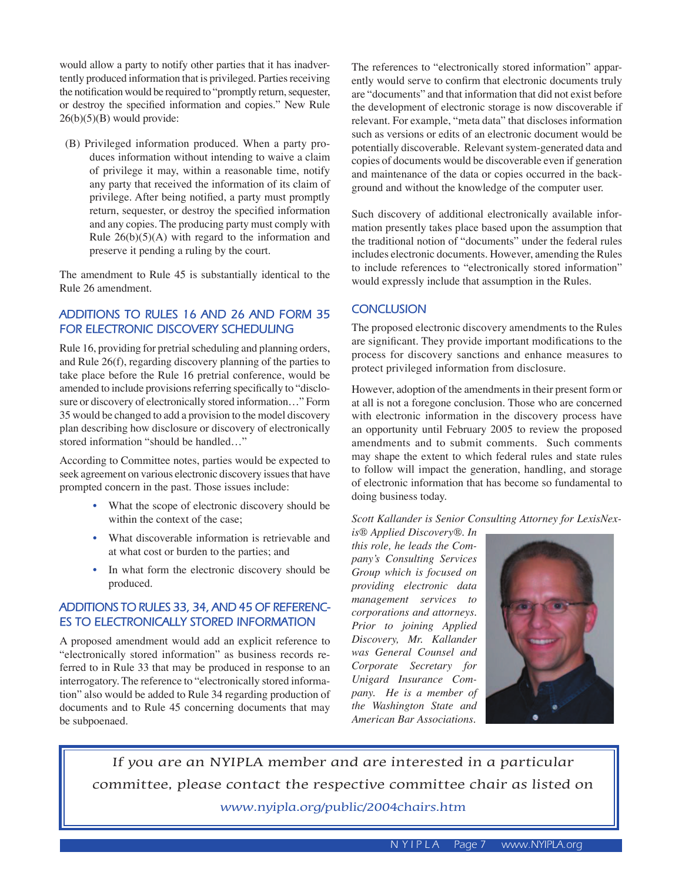would allow a party to notify other parties that it has inadvertently produced information that is privileged. Parties receiving the notification would be required to "promptly return, sequester, or destroy the specified information and copies." New Rule  $26(b)(5)(B)$  would provide:

(B) Privileged information produced. When a party produces information without intending to waive a claim of privilege it may, within a reasonable time, notify any party that received the information of its claim of privilege. After being notified, a party must promptly return, sequester, or destroy the specified information and any copies. The producing party must comply with Rule  $26(b)(5)(A)$  with regard to the information and preserve it pending a ruling by the court.

The amendment to Rule 45 is substantially identical to the Rule 26 amendment.

# **ADDITIONS TO RULES 16 AND 26 AND FORM 35 FOR ELECTRONIC DISCOVERY SCHEDULING**

Rule 16, providing for pretrial scheduling and planning orders, and Rule 26(f), regarding discovery planning of the parties to take place before the Rule 16 pretrial conference, would be amended to include provisions referring specifically to "disclosure or discovery of electronically stored information…" Form 35 would be changed to add a provision to the model discovery plan describing how disclosure or discovery of electronically stored information "should be handled…"

According to Committee notes, parties would be expected to seek agreement on various electronic discovery issues that have prompted concern in the past. Those issues include:

- What the scope of electronic discovery should be within the context of the case;
- What discoverable information is retrievable and at what cost or burden to the parties; and
- In what form the electronic discovery should be produced.

### **ADDITIONS TO RULES 33, 34, AND 45 OF REFERENC-ES TO ELECTRONICALLY STORED INFORMATION**

A proposed amendment would add an explicit reference to "electronically stored information" as business records referred to in Rule 33 that may be produced in response to an interrogatory. The reference to "electronically stored information" also would be added to Rule 34 regarding production of documents and to Rule 45 concerning documents that may be subpoenaed.

The references to "electronically stored information" apparently would serve to confirm that electronic documents truly are "documents" and that information that did not exist before the development of electronic storage is now discoverable if relevant. For example, "meta data" that discloses information such as versions or edits of an electronic document would be potentially discoverable. Relevant system-generated data and copies of documents would be discoverable even if generation and maintenance of the data or copies occurred in the background and without the knowledge of the computer user.

Such discovery of additional electronically available information presently takes place based upon the assumption that the traditional notion of "documents" under the federal rules includes electronic documents. However, amending the Rules to include references to "electronically stored information" would expressly include that assumption in the Rules.

### **CONCLUSION**

The proposed electronic discovery amendments to the Rules are significant. They provide important modifications to the process for discovery sanctions and enhance measures to protect privileged information from disclosure.

However, adoption of the amendments in their present form or at all is not a foregone conclusion. Those who are concerned with electronic information in the discovery process have an opportunity until February 2005 to review the proposed amendments and to submit comments. Such comments may shape the extent to which federal rules and state rules to follow will impact the generation, handling, and storage of electronic information that has become so fundamental to doing business today.

*Scott Kallander is Senior Consulting Attorney for LexisNex-*

*is® Applied Discovery®. In this role, he leads the Company's Consulting Services Group which is focused on providing electronic data management services to corporations and attorneys. Prior to joining Applied Discovery, Mr. Kallander was General Counsel and Corporate Secretary for Unigard Insurance Company. He is a member of the Washington State and American Bar Associations.*



If you are an NYIPLA member and are interested in a particular committee, please contact the respective committee chair as listed on www.nyipla.org/public/2004chairs.htm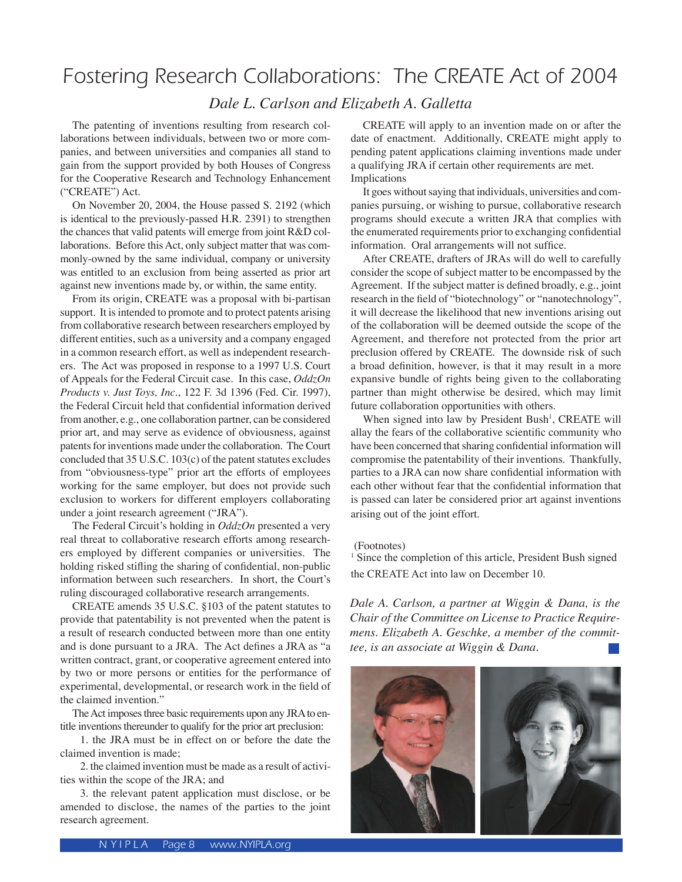# Fostering Research Collaborations: The CREATE Act of 2004

*Dale L. Carlson and Elizabeth A. Galletta*

 The patenting of inventions resulting from research collaborations between individuals, between two or more companies, and between universities and companies all stand to gain from the support provided by both Houses of Congress for the Cooperative Research and Technology Enhancement ("CREATE") Act.

 On November 20, 2004, the House passed S. 2192 (which is identical to the previously-passed H.R. 2391) to strengthen the chances that valid patents will emerge from joint R&D collaborations. Before this Act, only subject matter that was commonly-owned by the same individual, company or university was entitled to an exclusion from being asserted as prior art against new inventions made by, or within, the same entity.

 From its origin, CREATE was a proposal with bi-partisan support. It is intended to promote and to protect patents arising from collaborative research between researchers employed by different entities, such as a university and a company engaged in a common research effort, as well as independent researchers. The Act was proposed in response to a 1997 U.S. Court of Appeals for the Federal Circuit case. In this case, *OddzOn Products v. Just Toys, Inc*., 122 F. 3d 1396 (Fed. Cir. 1997), the Federal Circuit held that confidential information derived from another, e.g., one collaboration partner, can be considered prior art, and may serve as evidence of obviousness, against patents for inventions made under the collaboration. The Court concluded that 35 U.S.C. 103(c) of the patent statutes excludes from "obviousness-type" prior art the efforts of employees working for the same employer, but does not provide such exclusion to workers for different employers collaborating under a joint research agreement ("JRA").

 The Federal Circuit's holding in *OddzOn* presented a very real threat to collaborative research efforts among researchers employed by different companies or universities. The holding risked stifling the sharing of confidential, non-public information between such researchers. In short, the Court's ruling discouraged collaborative research arrangements.

 CREATE amends 35 U.S.C. §103 of the patent statutes to provide that patentability is not prevented when the patent is a result of research conducted between more than one entity and is done pursuant to a JRA. The Act defines a JRA as "a written contract, grant, or cooperative agreement entered into by two or more persons or entities for the performance of experimental, developmental, or research work in the field of the claimed invention."

 The Act imposes three basic requirements upon any JRA to entitle inventions thereunder to qualify for the prior art preclusion:

 1. the JRA must be in effect on or before the date the claimed invention is made;

 2. the claimed invention must be made as a result of activities within the scope of the JRA; and

 3. the relevant patent application must disclose, or be amended to disclose, the names of the parties to the joint research agreement.

 CREATE will apply to an invention made on or after the date of enactment. Additionally, CREATE might apply to pending patent applications claiming inventions made under a qualifying JRA if certain other requirements are met. Implications

 It goes without saying that individuals, universities and companies pursuing, or wishing to pursue, collaborative research programs should execute a written JRA that complies with the enumerated requirements prior to exchanging confidential information. Oral arrangements will not suffice.

 After CREATE, drafters of JRAs will do well to carefully consider the scope of subject matter to be encompassed by the Agreement. If the subject matter is defined broadly, e.g., joint research in the field of "biotechnology" or "nanotechnology", it will decrease the likelihood that new inventions arising out of the collaboration will be deemed outside the scope of the Agreement, and therefore not protected from the prior art preclusion offered by CREATE. The downside risk of such a broad definition, however, is that it may result in a more expansive bundle of rights being given to the collaborating partner than might otherwise be desired, which may limit future collaboration opportunities with others.

When signed into law by President Bush<sup>1</sup>, CREATE will allay the fears of the collaborative scientific community who have been concerned that sharing confidential information will compromise the patentability of their inventions. Thankfully, parties to a JRA can now share confidential information with each other without fear that the confidential information that is passed can later be considered prior art against inventions arising out of the joint effort.

#### (Footnotes)

<sup>1</sup> Since the completion of this article, President Bush signed the CREATE Act into law on December 10.

*Dale A. Carlson, a partner at Wiggin & Dana, is the Chair of the Committee on License to Practice Requiremens. Elizabeth A. Geschke, a member of the committee, is an associate at Wiggin & Dana.*

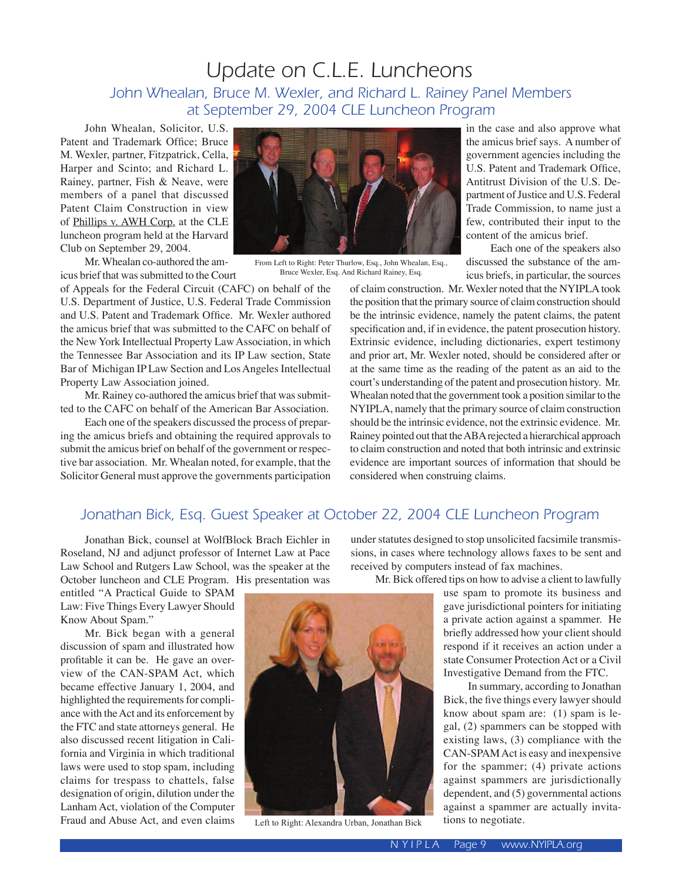# Update on C.L.E. Luncheons John Whealan, Bruce M. Wexler, and Richard L. Rainey Panel Members at September 29, 2004 CLE Luncheon Program

John Whealan, Solicitor, U.S. Patent and Trademark Office; Bruce M. Wexler, partner, Fitzpatrick, Cella, Harper and Scinto; and Richard L. Rainey, partner, Fish & Neave, were members of a panel that discussed Patent Claim Construction in view of Phillips v. AWH Corp. at the CLE luncheon program held at the Harvard Club on September 29, 2004.

Mr. Whealan co-authored the amicus brief that was submitted to the Court

of Appeals for the Federal Circuit (CAFC) on behalf of the U.S. Department of Justice, U.S. Federal Trade Commission and U.S. Patent and Trademark Office. Mr. Wexler authored the amicus brief that was submitted to the CAFC on behalf of the New York Intellectual Property Law Association, in which the Tennessee Bar Association and its IP Law section, State Bar of Michigan IP Law Section and Los Angeles Intellectual Property Law Association joined.

Mr. Rainey co-authored the amicus brief that was submitted to the CAFC on behalf of the American Bar Association.

Each one of the speakers discussed the process of preparing the amicus briefs and obtaining the required approvals to submit the amicus brief on behalf of the government or respective bar association. Mr. Whealan noted, for example, that the Solicitor General must approve the governments participation



From Left to Right: Peter Thurlow, Esq., John Whealan, Esq., Bruce Wexler, Esq. And Richard Rainey, Esq.

in the case and also approve what the amicus brief says. A number of government agencies including the U.S. Patent and Trademark Office, Antitrust Division of the U.S. Department of Justice and U.S. Federal Trade Commission, to name just a few, contributed their input to the content of the amicus brief.

Each one of the speakers also discussed the substance of the amicus briefs, in particular, the sources

of claim construction. Mr. Wexler noted that the NYIPLA took the position that the primary source of claim construction should be the intrinsic evidence, namely the patent claims, the patent specification and, if in evidence, the patent prosecution history. Extrinsic evidence, including dictionaries, expert testimony and prior art, Mr. Wexler noted, should be considered after or at the same time as the reading of the patent as an aid to the court's understanding of the patent and prosecution history. Mr. Whealan noted that the government took a position similar to the NYIPLA, namely that the primary source of claim construction should be the intrinsic evidence, not the extrinsic evidence. Mr. Rainey pointed out that the ABA rejected a hierarchical approach to claim construction and noted that both intrinsic and extrinsic evidence are important sources of information that should be considered when construing claims.

# Jonathan Bick, Esq. Guest Speaker at October 22, 2004 CLE Luncheon Program

Jonathan Bick, counsel at WolfBlock Brach Eichler in Roseland, NJ and adjunct professor of Internet Law at Pace Law School and Rutgers Law School, was the speaker at the October luncheon and CLE Program. His presentation was

entitled "A Practical Guide to SPAM Law: Five Things Every Lawyer Should Know About Spam."

Mr. Bick began with a general discussion of spam and illustrated how profitable it can be. He gave an overview of the CAN-SPAM Act, which became effective January 1, 2004, and highlighted the requirements for compliance with the Act and its enforcement by the FTC and state attorneys general. He also discussed recent litigation in California and Virginia in which traditional laws were used to stop spam, including claims for trespass to chattels, false designation of origin, dilution under the Lanham Act, violation of the Computer Fraud and Abuse Act, and even claims

under statutes designed to stop unsolicited facsimile transmissions, in cases where technology allows faxes to be sent and received by computers instead of fax machines.

Mr. Bick offered tips on how to advise a client to lawfully use spam to promote its business and

gave jurisdictional pointers for initiating a private action against a spammer. He briefly addressed how your client should respond if it receives an action under a state Consumer Protection Act or a Civil Investigative Demand from the FTC.

In summary, according to Jonathan Bick, the five things every lawyer should know about spam are: (1) spam is legal, (2) spammers can be stopped with existing laws, (3) compliance with the CAN-SPAM Act is easy and inexpensive for the spammer; (4) private actions against spammers are jurisdictionally dependent, and (5) governmental actions against a spammer are actually invitations to negotiate.



Left to Right: Alexandra Urban, Jonathan Bick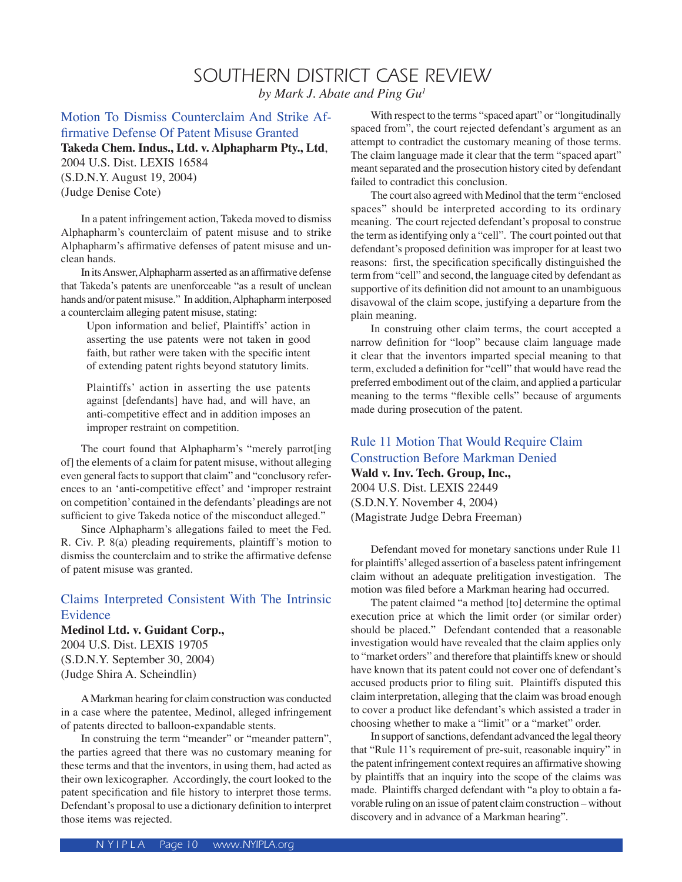# SOUTHERN DISTRICT CASE REVIEW *by Mark J. Abate and Ping Gu1*

Motion To Dismiss Counterclaim And Strike Affirmative Defense Of Patent Misuse Granted **Takeda Chem. Indus., Ltd. v. Alphapharm Pty., Ltd**, 2004 U.S. Dist. LEXIS 16584 (S.D.N.Y. August 19, 2004) (Judge Denise Cote)

In a patent infringement action, Takeda moved to dismiss Alphapharm's counterclaim of patent misuse and to strike Alphapharm's affirmative defenses of patent misuse and unclean hands.

 In its Answer, Alphapharm asserted as an affirmative defense that Takeda's patents are unenforceable "as a result of unclean hands and/or patent misuse." In addition, Alphapharm interposed a counterclaim alleging patent misuse, stating:

Upon information and belief, Plaintiffs' action in asserting the use patents were not taken in good faith, but rather were taken with the specific intent of extending patent rights beyond statutory limits.

Plaintiffs' action in asserting the use patents against [defendants] have had, and will have, an anti-competitive effect and in addition imposes an improper restraint on competition.

 The court found that Alphapharm's "merely parrot[ing of] the elements of a claim for patent misuse, without alleging even general facts to support that claim" and "conclusory references to an ʻanti-competitive effect' and ʻimproper restraint on competition' contained in the defendants' pleadings are not sufficient to give Takeda notice of the misconduct alleged."

 Since Alphapharm's allegations failed to meet the Fed. R. Civ. P. 8(a) pleading requirements, plaintiff's motion to dismiss the counterclaim and to strike the affirmative defense of patent misuse was granted.

# Claims Interpreted Consistent With The Intrinsic Evidence

#### **Medinol Ltd. v. Guidant Corp.,**

2004 U.S. Dist. LEXIS 19705 (S.D.N.Y. September 30, 2004) (Judge Shira A. Scheindlin)

A Markman hearing for claim construction was conducted in a case where the patentee, Medinol, alleged infringement of patents directed to balloon-expandable stents.

In construing the term "meander" or "meander pattern", the parties agreed that there was no customary meaning for these terms and that the inventors, in using them, had acted as their own lexicographer. Accordingly, the court looked to the patent specification and file history to interpret those terms. Defendant's proposal to use a dictionary definition to interpret those items was rejected.

 With respect to the terms "spaced apart" or "longitudinally spaced from", the court rejected defendant's argument as an attempt to contradict the customary meaning of those terms. The claim language made it clear that the term "spaced apart" meant separated and the prosecution history cited by defendant failed to contradict this conclusion.

 The court also agreed with Medinol that the term "enclosed spaces" should be interpreted according to its ordinary meaning. The court rejected defendant's proposal to construe the term as identifying only a "cell". The court pointed out that defendant's proposed definition was improper for at least two reasons: first, the specification specifically distinguished the term from "cell" and second, the language cited by defendant as supportive of its definition did not amount to an unambiguous disavowal of the claim scope, justifying a departure from the plain meaning.

 In construing other claim terms, the court accepted a narrow definition for "loop" because claim language made it clear that the inventors imparted special meaning to that term, excluded a definition for "cell" that would have read the preferred embodiment out of the claim, and applied a particular meaning to the terms "flexible cells" because of arguments made during prosecution of the patent.

## Rule 11 Motion That Would Require Claim Construction Before Markman Denied **Wald v. Inv. Tech. Group, Inc.,**  2004 U.S. Dist. LEXIS 22449

(S.D.N.Y. November 4, 2004) (Magistrate Judge Debra Freeman)

Defendant moved for monetary sanctions under Rule 11 for plaintiffs' alleged assertion of a baseless patent infringement claim without an adequate prelitigation investigation. The motion was filed before a Markman hearing had occurred.

 The patent claimed "a method [to] determine the optimal execution price at which the limit order (or similar order) should be placed." Defendant contended that a reasonable investigation would have revealed that the claim applies only to "market orders" and therefore that plaintiffs knew or should have known that its patent could not cover one of defendant's accused products prior to filing suit. Plaintiffs disputed this claim interpretation, alleging that the claim was broad enough to cover a product like defendant's which assisted a trader in choosing whether to make a "limit" or a "market" order.

 In support of sanctions, defendant advanced the legal theory that "Rule 11's requirement of pre-suit, reasonable inquiry" in the patent infringement context requires an affirmative showing by plaintiffs that an inquiry into the scope of the claims was made. Plaintiffs charged defendant with "a ploy to obtain a favorable ruling on an issue of patent claim construction – without discovery and in advance of a Markman hearing".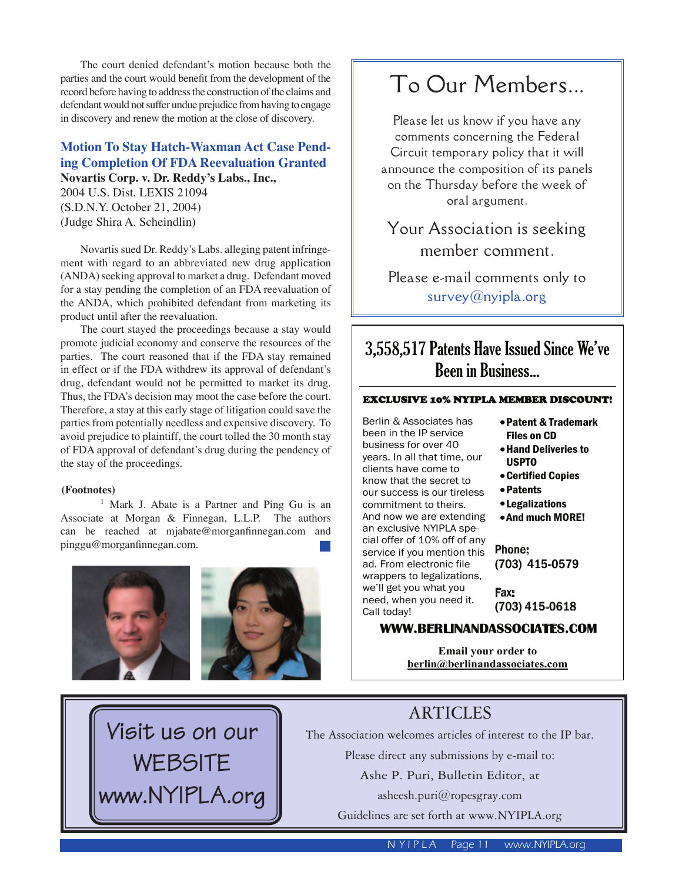The court denied defendant's motion because both the parties and the court would benefit from the development of the record before having to address the construction of the claims and defendant would not suffer undue prejudice from having to engage in discovery and renew the motion at the close of discovery.

# **Motion To Stay Hatch-Waxman Act Case Pending Completion Of FDA Reevaluation Granted Novartis Corp. v. Dr. Reddy's Labs., Inc.,**

2004 U.S. Dist. LEXIS 21094 (S.D.N.Y. October 21, 2004) (Judge Shira A. Scheindlin)

 Novartis sued Dr. Reddy's Labs. alleging patent infringement with regard to an abbreviated new drug application (ANDA) seeking approval to market a drug. Defendant moved for a stay pending the completion of an FDA reevaluation of the ANDA, which prohibited defendant from marketing its product until after the reevaluation.

 The court stayed the proceedings because a stay would promote judicial economy and conserve the resources of the parties. The court reasoned that if the FDA stay remained in effect or if the FDA withdrew its approval of defendant's drug, defendant would not be permitted to market its drug. Thus, the FDA's decision may moot the case before the court. Therefore, a stay at this early stage of litigation could save the parties from potentially needless and expensive discovery. To avoid prejudice to plaintiff, the court tolled the 30 month stay of FDA approval of defendant's drug during the pendency of the stay of the proceedings.

#### **(Footnotes)**

<sup>1</sup> Mark J. Abate is a Partner and Ping Gu is an Associate at Morgan & Finnegan, L.L.P. The authors can be reached at mjabate@morganfinnegan.com and pinggu@morganfinnegan.com.<br>Phone: Phone: Phone: Phone: Phone: Phone: Phone: Phone: Phone: Phone: Phone: Phone: Phone: Phone: Phone: Phone

**Visit us on our**

**WEBSITE**

**www.NYIPLA.org**





# To Our Members...

Please let us know if you have any comments concerning the Federal Circuit temporary policy that it will announce the composition of its panels on the Thursday before the week of oral argument.

Your Association is seeking member comment.

Please e-mail comments only to survey@nyipla.org

# 3,558,517 Patents Have Issued Since We've Been in Business...

#### EXCLUSIVE 10% NYIPLA MEMBER DISCOUNT!

Berlin & Associates has been in the IP service business for over 40 years. In all that time, our clients have come to know that the secret to our success is our tireless commitment to theirs. And now we are extending an exclusive NYIPLA special offer of 10% off of any service if you mention this ad. From electronic file wrappers to legalizations, we'll get you what you need, when you need it. Call today!

- •Patent & Trademark Files on CD
- •Hand Deliveries to USPTO
- •Certified Copies
- •Patents
- •Legalizations
- •And much MORE!

(703) 415-0579

Fax: (703) 415-0618

#### **WWW.BERLINANDASSOCIATES.COM**

**Email your order to berlin@berlinandassociates.com**



The Association welcomes articles of interest to the IP bar.

Please direct any submissions by e-mail to:

Ashe P. Puri, Bulletin Editor, at

asheesh.puri@ropesgray.com

Guidelines are set forth at www.NYIPLA.org